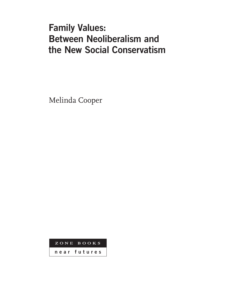## Family Values: Between Neoliberalism and the New Social Conservatism

Melinda Cooper

ZONE BOOKS near futures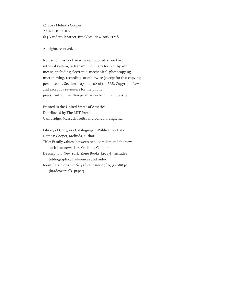© 2017 Melinda Cooper ZONE BOOKS 633 Vanderbilt Street, Brooklyn, New York 11218

All rights reserved.

No part of this book may be reproduced, stored in a retrieval system, or transmitted in any form or by any means, including electronic, mechanical, photocopying, microfilming, recording, or otherwise (except for that copying permitted by Sections 107 and 108 of the U.S. Copyright Law and except by reviewers for the public press), without written permission from the Publisher.

Printed in the United States of America. Distributed by The MIT Press, Cambridge, Massachusetts, and London, England.

Library of Congress Cataloging-in-Publication Data Names: Cooper, Melinda, author Title: Family values: between neoliberalism and the new social conservatism /Melinda Cooper. Description: New York: Zone Books, [2017] | Includes bibliographical references and index. Identifiers: lccn 2016042842 | isbn 9781935408840 (hardcover: alk. paper)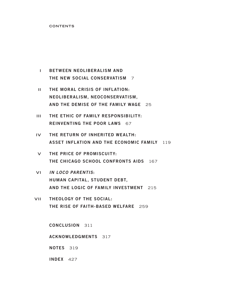- **I** BETWEEN NEOLIBERALISM AND THE NEW SOCIAL CONSERVATISM 7
- **II** THE MORAL CRISIS OF INFLATION: NEOLIBERALISM, NEOCONSERVATISM, AND THE DEMISE OF THE FAMILY WAGE 25
- **III** THE ETHIC OF FAMILY RESPONSIBILITY: REINVENTING THE POOR LAWS 67
- **IV** THE RETURN OF INHERITED WEALTH: ASSET INFLATION AND THE ECONOMIC FAMILY 119
- **V** THE PRICE OF PROMISCUITY: THE CHICAGO SCHOOL CONFRONTS AIDS 167
- **VI IN LOCO PARENTIS:** HUMAN CAPITAL, STUDENT DEBT, AND THE LOGIC OF FAMILY INVESTMENT 215
- **VII** THEOLOGY OF THE SOCIAL: THE RISE OF FAITH-BASED WELFARE 259

CONCLUSION 311

ACKNOWLEDGMENTS 317

NOTES 319

INDEX 427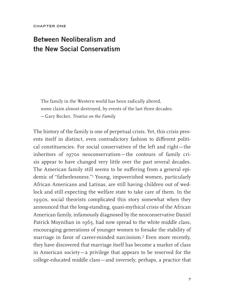## Between Neoliberalism and the New Social Conservatism

The family in the Western world has been radically altered, some claim almost destroyed, by events of the last three decades. — Gary Becker, *Treatise on the Family*

The history of the family is one of perpetual crisis. Yet, this crisis presents itself in distinct, even contradictory fashion to different political constituencies. For social conservatives of the left and right— the inheritors of 1970s neoconservatism— the contours of family crisis appear to have changed very little over the past several decades. The American family still seems to be suffering from a general epidemic of "fatherlessness."1 Young, impoverished women, particularly African Americans and Latinas, are still having children out of wedlock and still expecting the welfare state to take care of them. In the 1990s, social theorists complicated this story somewhat when they announced that the long-standing, quasi-mythical crisis of the African American family, infamously diagnosed by the neoconservative Daniel Patrick Moynihan in 1965, had now spread to the white middle class, encouraging generations of younger women to forsake the stability of marriage in favor of career-minded narcissism.2 Even more recently, they have discovered that marriage itself has become a marker of class in American society— a privilege that appears to be reserved for the college-educated middle class— and inversely, perhaps, a practice that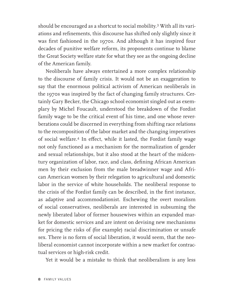should be encouraged as a shortcut to social mobility.3 With all its variations and refinements, this discourse has shifted only slightly since it was first fashioned in the 1970s. And although it has inspired four decades of punitive welfare reform, its proponents continue to blame the Great Society welfare state for what they see as the ongoing decline of the American family.

Neoliberals have always entertained a more complex relationship to the discourse of family crisis. It would not be an exaggeration to say that the enormous political activism of American neoliberals in the 1970s was inspired by the fact of changing family structures. Certainly Gary Becker, the Chicago school economist singled out as exemplary by Michel Foucault, understood the breakdown of the Fordist family wage to be the critical event of his time, and one whose reverberations could be discerned in everything from shifting race relations to the recomposition of the labor market and the changing imperatives of social welfare.4 In effect, while it lasted, the Fordist family wage not only functioned as a mechanism for the normalization of gender and sexual relationships, but it also stood at the heart of the midcentury organization of labor, race, and class, defining African American men by their exclusion from the male breadwinner wage and African American women by their relegation to agricultural and domestic labor in the service of white households. The neoliberal response to the crisis of the Fordist family can be described, in the first instance, as adaptive and accommodationist. Eschewing the overt moralism of social conservatives, neoliberals are interested in subsuming the newly liberated labor of former housewives within an expanded market for domestic services and are intent on devising new mechanisms for pricing the risks of (for example) racial discrimination or unsafe sex. There is no form of social liberation, it would seem, that the neoliberal economist cannot incorporate within a new market for contractual services or high-risk credit.

Yet it would be a mistake to think that neoliberalism is any less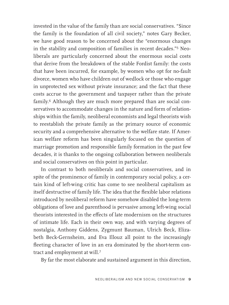invested in the value of the family than are social conservatives. "Since the family is the foundation of all civil society," notes Gary Becker, we have good reason to be concerned about the "enormous changes in the stability and composition of families in recent decades."5 Neoliberals are particularly concerned about the enormous social costs that derive from the breakdown of the stable Fordist family: the costs that have been incurred, for example, by women who opt for no-fault divorce, women who have children out of wedlock or those who engage in unprotected sex without private insurance; and the fact that these costs accrue to the government and taxpayer rather than the private family.6 Although they are much more prepared than are social conservatives to accommodate changes in the nature and form of relationships within the family, neoliberal economists and legal theorists wish to reestablish the private family as the primary source of economic security and a comprehensive alternative to the welfare state. If American welfare reform has been singularly focused on the question of marriage promotion and responsible family formation in the past few decades, it is thanks to the ongoing collaboration between neoliberals and social conservatives on this point in particular.

In contrast to both neoliberals and social conservatives, and in spite of the prominence of family in contemporary social policy, a certain kind of left-wing critic has come to see neoliberal capitalism as itself destructive of family life. The idea that the flexible labor relations introduced by neoliberal reform have somehow disabled the long-term obligations of love and parenthood is pervasive among left-wing social theorists interested in the effects of late modernism on the structures of intimate life. Each in their own way, and with varying degrees of nostalgia, Anthony Giddens, Zygmunt Bauman, Ulrich Beck, Elizabeth Beck-Gernsheim, and Eva Illouz all point to the increasingly fleeting character of love in an era dominated by the short-term contract and employment at will.<sup>7</sup>

By far the most elaborate and sustained argument in this direction,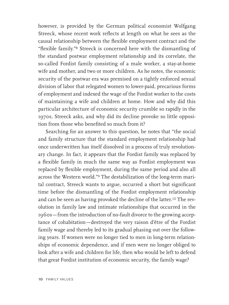however, is provided by the German political economist Wolfgang Streeck, whose recent work reflects at length on what he sees as the causal relationship between the flexible employment contract and the "flexible family."8 Streeck is concerned here with the dismantling of the standard postwar employment relationship and its correlate, the so-called Fordist family consisting of a male worker, a stay-at-home wife and mother, and two or more children. As he notes, the economic security of the postwar era was premised on a tightly enforced sexual division of labor that relegated women to lower-paid, precarious forms of employment and indexed the wage of the Fordist worker to the costs of maintaining a wife and children at home. How and why did this particular architecture of economic security crumble so rapidly in the 1970s, Streeck asks, and why did its decline provoke so little opposition from those who benefited so much from it?

Searching for an answer to this question, he notes that "the social and family structure that the standard employment relationship had once underwritten has itself dissolved in a process of truly revolutionary change. In fact, it appears that the Fordist family was replaced by a flexible family in much the same way as Fordist employment was replaced by flexible employment, during the same period and also all across the Western world."9 The destabilization of the long-term marital contract, Streeck wants to argue, occurred a short but significant time before the dismantling of the Fordist employment relationship and can be seen as having provoked the decline of the latter.10 The revolution in family law and intimate relationships that occurred in the 1960s— from the introduction of no-fault divorce to the growing acceptance of cohabitation— destroyed the very raison d'être of the Fordist family wage and thereby led to its gradual phasing out over the following years. If women were no longer tied to men in long-term relationships of economic dependence, and if men were no longer obliged to look after a wife and children for life, then who would be left to defend that great Fordist institution of economic security, the family wage?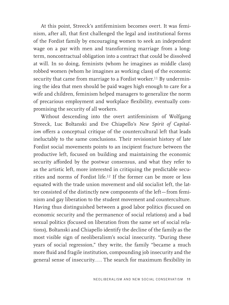At this point, Streeck's antifeminism becomes overt. It was feminism, after all, that first challenged the legal and institutional forms of the Fordist family by encouraging women to seek an independent wage on a par with men and transforming marriage from a longterm, noncontractual obligation into a contract that could be dissolved at will. In so doing, feminists (whom he imagines as middle class) robbed women (whom he imagines as working class) of the economic security that came from marriage to a Fordist worker.<sup>11</sup> By undermining the idea that men should be paid wages high enough to care for a wife and children, feminism helped managers to generalize the norm of precarious employment and workplace flexibility, eventually compromising the security of all workers.

Without descending into the overt antifeminism of Wolfgang Streeck, Luc Boltanski and Eve Chiapello's *New Spirit of Capitalism* offers a conceptual critique of the countercultural left that leads ineluctably to the same conclusions. Their revisionist history of late Fordist social movements points to an incipient fracture between the productive left, focused on building and maintaining the economic security afforded by the postwar consensus, and what they refer to as the artistic left, more interested in critiquing the predictable securities and norms of Fordist life.12 If the former can be more or less equated with the trade union movement and old socialist left, the latter consisted of the distinctly new components of the left— from feminism and gay liberation to the student movement and counterculture. Having thus distinguished between a good labor politics (focused on economic security and the permanence of social relations) and a bad sexual politics (focused on liberation from the same set of social relations), Boltanski and Chiapello identify the decline of the family as the most visible sign of neoliberalism's social insecurity. "During these years of social regression," they write, the family "became a much more fluid and fragile institution, compounding job insecurity and the general sense of insecurity.... The search for maximum flexibility in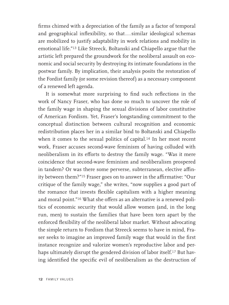firms chimed with a depreciation of the family as a factor of temporal and geographical inflexibility, so that... similar ideological schemas are mobilized to justify adaptability in work relations and mobility in emotional life."13 Like Streeck, Boltanski and Chiapello argue that the artistic left prepared the groundwork for the neoliberal assault on economic and social security by destroying its intimate foundations in the postwar family. By implication, their analysis posits the restoration of the Fordist family (or some revision thereof) as a necessary component of a renewed left agenda.

It is somewhat more surprising to find such reflections in the work of Nancy Fraser, who has done so much to uncover the role of the family wage in shaping the sexual divisions of labor constitutive of American Fordism. Yet, Fraser's longstanding commitment to the conceptual distinction between cultural recognition and economic redistribution places her in a similar bind to Boltanski and Chiapello when it comes to the sexual politics of capital.<sup>14</sup> In her most recent work, Fraser accuses second-wave feminism of having colluded with neoliberalism in its efforts to destroy the family wage. "Was it mere coincidence that second-wave feminism and neoliberalism prospered in tandem? Or was there some perverse, subterranean, elective affinity between them?"15 Fraser goes on to answer in the affirmative: "Our critique of the family wage," she writes, "now supplies a good part of the romance that invests flexible capitalism with a higher meaning and moral point."16 What she offers as an alternative is a renewed politics of economic security that would allow women (and, in the long run, men) to sustain the families that have been torn apart by the enforced flexibility of the neoliberal labor market. Without advocating the simple return to Fordism that Streeck seems to have in mind, Fraser seeks to imagine an improved family wage that would in the first instance recognize and valorize women's reproductive labor and perhaps ultimately disrupt the gendered division of labor itself.17 But having identified the specific evil of neoliberalism as the destruction of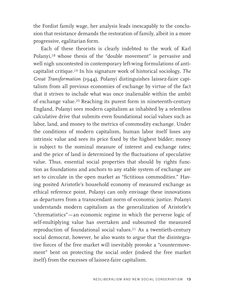the Fordist family wage, her analysis leads inescapably to the conclusion that resistance demands the restoration of family, albeit in a more progressive, egalitarian form.

Each of these theorists is clearly indebted to the work of Karl Polanyi,18 whose thesis of the "double movement" is pervasive and well nigh uncontested in contemporary left-wing formulations of anticapitalist critique.19 In his signature work of historical sociology, *The Great Transformation* (1944), Polanyi distinguishes laissez-faire capitalism from all previous economies of exchange by virtue of the fact that it strives to include what was once inalienable within the ambit of exchange value.20 Reaching its purest form in nineteenth-century England, Polanyi sees modern capitalism as inhabited by a relentless calculative drive that submits even foundational social values such as labor, land, and money to the metrics of commodity exchange. Under the conditions of modern capitalism, human labor itself loses any intrinsic value and sees its price fixed by the highest bidder; money is subject to the nominal measure of interest and exchange rates; and the price of land is determined by the fluctuations of speculative value. Thus, essential social properties that should by rights function as foundations and anchors to any stable system of exchange are set to circulate in the open market as "fictitious commodities." Having posited Aristotle's household economy of measured exchange as ethical reference point, Polanyi can only envisage these innovations as departures from a transcendant norm of economic justice. Polanyi understands modern capitalism as the generalization of Aristotle's "chrematistics"— an economic regime in which the perverse logic of self-multiplying value has overtaken and subsumed the measured reproduction of foundational social values.21 As a twentieth-century social democrat, however, he also wants to argue that the disintegrative forces of the free market will inevitably provoke a "countermovement" bent on protecting the social order (indeed the free market itself) from the excesses of laissez-faire capitalism.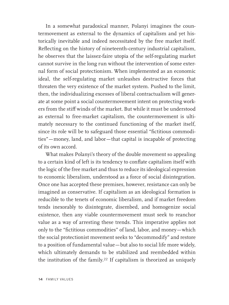In a somewhat paradoxical manner, Polanyi imagines the countermovement as external to the dynamics of capitalism and yet historically inevitable and indeed necessitated by the free market itself. Reflecting on the history of nineteenth-century industrial capitalism, he observes that the laissez-faire utopia of the self-regulating market cannot survive in the long run without the intervention of some external form of social protectionism. When implemented as an economic ideal, the self-regulating market unleashes destructive forces that threaten the very existence of the market system. Pushed to the limit, then, the individualizing excesses of liberal contractualism will generate at some point a social countermovement intent on protecting workers from the stiff winds of the market. But while it must be understood as external to free-market capitalism, the countermovement is ultimately necessary to the continued functioning of the market itself, since its role will be to safeguard those essential "fictitious commodities"— money, land, and labor— that capital is incapable of protecting of its own accord.

What makes Polanyi's theory of the double movement so appealing to a certain kind of left is its tendency to conflate capitalism itself with the logic of the free market and thus to reduce its ideological expression to economic liberalism, understood as a force of social disintegration. Once one has accepted these premises, however, resistance can only be imagined as conservative. If capitalism as an ideological formation is reducible to the tenets of economic liberalism, and if market freedom tends inexorably to disintegrate, disembed, and homogenize social existence, then any viable countermovement must seek to reanchor value as a way of arresting these trends. This imperative applies not only to the "fictitious commodities" of land, labor, and money— which the social protectionist movement seeks to "decommodify" and restore to a position of fundamental value— but also to social life more widely, which ultimately demands to be stabilized and reembedded within the institution of the family.22 If capitalism is theorized as uniquely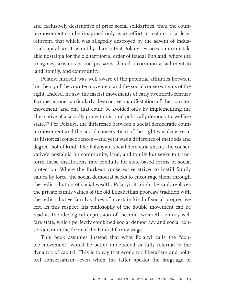and exclusively destructive of prior social solidarities, then the countermovement can be imagined only as an effort to restore, or at least reinvent, that which was allegedly destroyed by the advent of industrial capitalism. It is not by chance that Polanyi evinces an unmistakable nostalgia for the old territorial order of feudal England, where (he imagines) aristocrats and peasants shared a common attachment to land, family, and community.

Polanyi himself was well aware of the potential affinities between his theory of the countermovement and the social conservatisms of the right. Indeed, he saw the fascist movements of early twentieth-century Europe as one particularly destructive manifestation of the countermovement, and one that could be avoided only by implementing the alternative of a socially protectionist and politically democratic welfare state.23 For Polanyi, the difference between a social democratic countermovement and the social conservatism of the right was decisive in its historical consequences— and yet it was a difference of methods and degree, not of kind. The Polanyian social democrat shares the conservative's nostalgia for community, land, and family but seeks to transform these institutions into conduits for state-based forms of social protection. Where the Burkean conservative strives to instill family values by force, the social democrat seeks to encourage them through the redistribution of social wealth. Polanyi, it might be said, replaces the private family values of the old Elizabethan poor-law tradition with the redistributive family values of a certain kind of social progressive left. In this respect, his philosophy of the double movement can be read as the ideological expression of the mid-twentieth-century welfare state, which perfectly combined social democracy and social conservatism in the form of the Fordist family wage.

This book assumes instead that what Polanyi calls the "double movement" would be better understood as fully internal to the dynamic of capital. This is to say that economic liberalism and political conservatism— even when the latter speaks the language of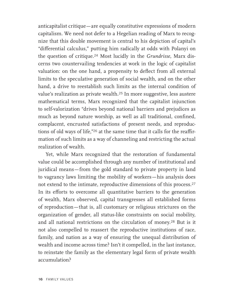anticapitalist critique— are equally constitutive expressions of modern capitalism. We need not defer to a Hegelian reading of Marx to recognize that this double movement is central to his depiction of capital's "differential calculus," putting him radically at odds with Polanyi on the question of critique.24 Most lucidly in the *Grundrisse*, Marx discerns two countervailing tendencies at work in the logic of capitalist valuation: on the one hand, a propensity to deflect from all external limits to the speculative generation of social wealth, and on the other hand, a drive to reestablish such limits as the internal condition of value's realization as private wealth.25 In more suggestive, less austere mathematical terms, Marx recognized that the capitalist injunction to self-valorization "drives beyond national barriers and prejudices as much as beyond nature worship, as well as all traditional, confined, complacent, encrusted satisfactions of present needs, and reproductions of old ways of life,"26 at the same time that it calls for the reaffirmation of such limits as a way of channeling and restricting the actual realization of wealth.

Yet, while Marx recognized that the restoration of fundamental value could be accomplished through any number of institutional and juridical means— from the gold standard to private property in land to vagrancy laws limiting the mobility of workers— his analysis does not extend to the intimate, reproductive dimensions of this process.<sup>27</sup> In its efforts to overcome all quantitative barriers to the generation of wealth, Marx observed, capital transgresses all established forms of reproduction— that is, all customary or religious strictures on the organization of gender, all status-like constraints on social mobility, and all national restrictions on the circulation of money.28 But is it not also compelled to reassert the reproductive institutions of race, family, and nation as a way of ensuring the unequal distribution of wealth and income across time? Isn't it compelled, in the last instance, to reinstate the family as the elementary legal form of private wealth accumulation?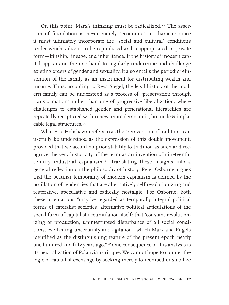On this point, Marx's thinking must be radicalized.29 The assertion of foundation is never merely "economic" in character since it must ultimately incorporate the "social and cultural" conditions under which value is to be reproduced and reappropriated in private form— kinship, lineage, and inheritance. If the history of modern capital appears on the one hand to regularly undermine and challenge existing orders of gender and sexuality, it also entails the periodic reinvention of the family as an instrument for distributing wealth and income. Thus, according to Reva Siegel, the legal history of the modern family can be understood as a process of "preservation through transformation" rather than one of progressive liberalization, where challenges to established gender and generational hierarchies are repeatedly recaptured within new, more democratic, but no less implacable legal structures.<sup>30</sup>

What Eric Hobsbawm refers to as the "reinvention of tradition" can usefully be understood as the expression of this double movement, provided that we accord no prior stability to tradition as such and recognize the very historicity of the term as an invention of nineteenthcentury industrial capitalism.31 Translating these insights into a general reflection on the philosophy of history, Peter Osborne argues that the peculiar temporality of modern capitalism is defined by the oscillation of tendencies that are alternatively self-revolutionizing and restorative, speculative and radically nostalgic. For Osborne, both these orientations "may be regarded as temporally integral political forms of capitalist societies, alternative political articulations of the social form of capitalist accumulation itself: that 'constant revolutionizing of production, uninterrupted disturbance of all social conditions, everlasting uncertainty and agitation,' which Marx and Engels identified as the distinguishing feature of the present epoch nearly one hundred and fifty years ago."32 One consequence of this analysis is its neutralization of Polanyian critique. We cannot hope to counter the logic of capitalist exchange by seeking merely to reembed or stabilize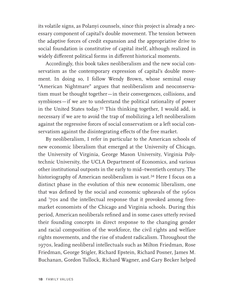its volatile signs, as Polanyi counsels, since this project is already a necessary component of capital's double movement. The tension between the adaptive forces of credit expansion and the appropriative drive to social foundation is constitutive of capital itself, although realized in widely different political forms in different historical moments.

Accordingly, this book takes neoliberalism and the new social conservatism as the contemporary expression of capital's double movement. In doing so, I follow Wendy Brown, whose seminal essay "American Nightmare" argues that neoliberalism and neoconservatism must be thought together— in their convergences, collisions, and symbioses— if we are to understand the political rationality of power in the United States today.33 This thinking together, I would add, is necessary if we are to avoid the trap of mobilizing a left neoliberalism against the regressive forces of social conservatism or a left social conservatism against the disintegrating effects of the free market.

By neoliberalism, I refer in particular to the American schools of new economic liberalism that emerged at the University of Chicago, the University of Virginia, George Mason University, Virginia Polytechnic University, the UCLA Department of Economics, and various other institutional outposts in the early to mid–twentieth century. The historiography of American neoliberalism is vast.<sup>34</sup> Here I focus on a distinct phase in the evolution of this new economic liberalism, one that was defined by the social and economic upheavals of the 1960s and '70s and the intellectual response that it provoked among freemarket economists of the Chicago and Virginia schools. During this period, American neoliberals refined and in some cases utterly revised their founding concepts in direct response to the changing gender and racial composition of the workforce, the civil rights and welfare rights movements, and the rise of student radicalism. Throughout the 1970s, leading neoliberal intellectuals such as Milton Friedman, Rose Friedman, George Stigler, Richard Epstein, Richard Posner, James M. Buchanan, Gordon Tullock, Richard Wagner, and Gary Becker helped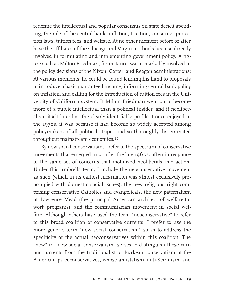redefine the intellectual and popular consensus on state deficit spending, the role of the central bank, inflation, taxation, consumer protection laws, tuition fees, and welfare. At no other moment before or after have the affiliates of the Chicago and Virginia schools been so directly involved in formulating and implementing government policy. A figure such as Milton Friedman, for instance, was remarkably involved in the policy decisions of the Nixon, Carter, and Reagan administrations: At various moments, he could be found lending his hand to proposals to introduce a basic guaranteed income, informing central bank policy on inflation, and calling for the introduction of tuition fees in the University of California system. If Milton Friedman went on to become more of a public intellectual than a political insider, and if neoliberalism itself later lost the clearly identifiable profile it once enjoyed in the 1970s, it was because it had become so widely accepted among policymakers of all political stripes and so thoroughly disseminated throughout mainstream economics.<sup>35</sup>

By new social conservatism, I refer to the spectrum of conservative movements that emerged in or after the late 1960s, often in response to the same set of concerns that mobilized neoliberals into action. Under this umbrella term, I include the neoconservative movement as such (which in its earliest incarnation was almost exclusively preoccupied with domestic social issues), the new religious right comprising conservative Catholics and evangelicals, the new paternalism of Lawrence Mead (the principal American architect of welfare-towork programs), and the communitarian movement in social welfare. Although others have used the term "neoconservative" to refer to this broad coalition of conservative currents, I prefer to use the more generic term "new social conservatism" so as to address the specificity of the actual neoconservatives within this coalition. The "new" in "new social conservatism" serves to distinguish these various currents from the traditionalist or Burkean conservatism of the American paleoconservatives, whose antistatism, anti-Semitism, and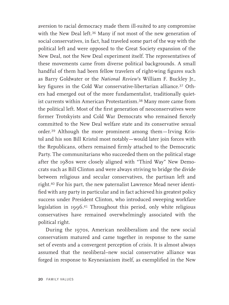aversion to racial democracy made them ill-suited to any compromise with the New Deal left.36 Many if not most of the new generation of social conservatives, in fact, had traveled some part of the way with the political left and were opposed to the Great Society expansion of the New Deal, not the New Deal experiment itself. The representatives of these movements came from diverse political backgrounds. A small handful of them had been fellow travelers of right-wing figures such as Barry Goldwater or the *National Review*'s William F. Buckley Jr., key figures in the Cold War conservative-libertarian alliance.37 Others had emerged out of the more fundamentalist, traditionally quietist currents within American Protestantism.38 Many more came from the political left. Most of the first generation of neoconservatives were former Trotskyists and Cold War Democrats who remained fiercely committed to the New Deal welfare state and its conservative sexual order.39 Although the more prominent among them— Irving Kristol and his son Bill Kristol most notably— would later join forces with the Republicans, others remained firmly attached to the Democratic Party. The communitarians who succeeded them on the political stage after the 1980s were closely aligned with "Third Way" New Democrats such as Bill Clinton and were always striving to bridge the divide between religious and secular conservatives, the partisan left and right.40 For his part, the new paternalist Lawrence Mead never identified with any party in particular and in fact achieved his greatest policy success under President Clinton, who introduced sweeping workfare legislation in 1996.41 Throughout this period, only white religious conservatives have remained overwhelmingly associated with the political right.

During the 1970s, American neoliberalism and the new social conservatism matured and came together in response to the same set of events and a convergent perception of crisis. It is almost always assumed that the neoliberal–new social conservative alliance was forged in response to Keynesianism itself, as exemplified in the New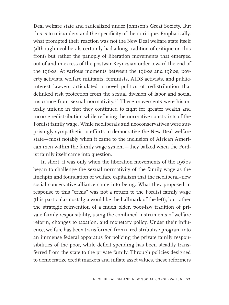Deal welfare state and radicalized under Johnson's Great Society. But this is to misunderstand the specificity of their critique. Emphatically, what prompted their reaction was not the New Deal welfare state itself (although neoliberals certainly had a long tradition of critique on this front) but rather the panoply of liberation movements that emerged out of and in excess of the postwar Keynesian order toward the end of the 1960s. At various moments between the 1960s and 1980s, poverty activists, welfare militants, feminists, AIDS activists, and publicinterest lawyers articulated a novel politics of redistribution that delinked risk protection from the sexual division of labor and social insurance from sexual normativity.42 These movements were historically unique in that they continued to fight for greater wealth and income redistribution while refusing the normative constraints of the Fordist family wage. While neoliberals and neoconservatives were surprisingly sympathetic to efforts to democratize the New Deal welfare state— most notably when it came to the inclusion of African American men within the family wage system— they balked when the Fordist family itself came into question.

In short, it was only when the liberation movements of the 1960s began to challenge the sexual normativity of the family wage as the linchpin and foundation of welfare capitalism that the neoliberal–new social conservative alliance came into being. What they proposed in response to this "crisis" was not a return to the Fordist family wage (this particular nostalgia would be the hallmark of the left), but rather the strategic reinvention of a much older, poor-law tradition of private family responsibility, using the combined instruments of welfare reform, changes to taxation, and monetary policy. Under their influence, welfare has been transformed from a redistributive program into an immense federal apparatus for policing the private family responsibilities of the poor, while deficit spending has been steadily transferred from the state to the private family. Through policies designed to democratize credit markets and inflate asset values, these reformers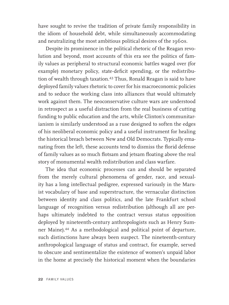have sought to revive the tradition of private family responsibility in the idiom of household debt, while simultaneously accommodating and neutralizing the most ambitious political desires of the 1960s.

Despite its prominence in the political rhetoric of the Reagan revolution and beyond, most accounts of this era see the politics of family values as peripheral to structural economic battles waged over (for example) monetary policy, state-deficit spending, or the redistribution of wealth through taxation.43 Thus, Ronald Reagan is said to have deployed family values rhetoric to cover for his macroeconomic policies and to seduce the working class into alliances that would ultimately work against them. The neoconservative culture wars are understood in retrospect as a useful distraction from the real business of cutting funding to public education and the arts, while Clinton's communitarianism is similarly understood as a ruse designed to soften the edges of his neoliberal economic policy and a useful instrument for healing the historical breach between New and Old Democrats. Typically emanating from the left, these accounts tend to dismiss the florid defense of family values as so much flotsam and jetsam floating above the real story of monumental wealth redistribution and class warfare.

The idea that economic processes can and should be separated from the merely cultural phenomena of gender, race, and sexuality has a long intellectual pedigree, expressed variously in the Marxist vocabulary of base and superstructure, the vernacular distinction between identity and class politics, and the late Frankfurt school language of recognition versus redistribution (although all are perhaps ultimately indebted to the contract versus status opposition deployed by nineteenth-century anthropologists such as Henry Sumner Maine).44 As a methodological and political point of departure, such distinctions have always been suspect. The nineteenth-century anthropological language of status and contract, for example, served to obscure and sentimentalize the existence of women's unpaid labor in the home at precisely the historical moment when the boundaries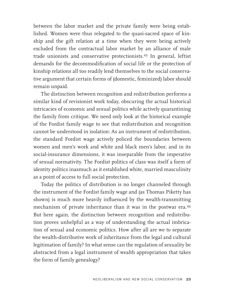between the labor market and the private family were being established. Women were thus relegated to the quasi-sacred space of kinship and the gift relation at a time when they were being actively excluded from the contractual labor market by an alliance of male trade unionists and conservative protectionists.45 In general, leftist demands for the decommodification of social life or the protection of kinship relations all too readily lend themselves to the social conservative argument that certain forms of (domestic, feminized) labor should remain unpaid.

The distinction between recognition and redistribution performs a similar kind of revisionist work today, obscuring the actual historical intricacies of economic and sexual politics while actively quarantining the family from critique. We need only look at the historical example of the Fordist family wage to see that redistribution and recognition cannot be understood in isolation: As an instrument of redistribution, the standard Fordist wage actively policed the boundaries between women and men's work and white and black men's labor, and in its social-insurance dimensions, it was inseparable from the imperative of sexual normativity. The Fordist politics of class was itself a form of identity politics inasmuch as it established white, married masculinity as a point of access to full social protection.

Today the politics of distribution is no longer channeled through the instrument of the Fordist family wage and (as Thomas Piketty has shown) is much more heavily influenced by the wealth-transmitting mechanism of private inheritance than it was in the postwar era.<sup>46</sup> But here again, the distinction between recognition and redistribution proves unhelpful as a way of understanding the actual imbrication of sexual and economic politics. How after all are we to separate the wealth-distributive work of inheritance from the legal and cultural legitimation of family? In what sense can the regulation of sexuality be abstracted from a legal instrument of wealth appropriation that takes the form of family genealogy?